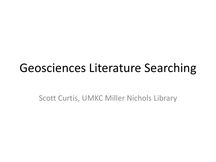### Geosciences Literature Searching

Scott Curtis, UMKC Miller Nichols Library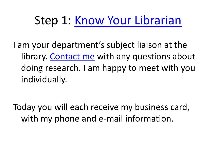### Step 1: [Know Your Librarian](http://library.umkc.edu/contact/Scott_Curtis)

I am your department's subject liaison at the library. [Contact me](http://library.umkc.edu/contact/Scott_Curtis) with any questions about doing research. I am happy to meet with you individually.

Today you will each receive my business card, with my phone and e-mail information.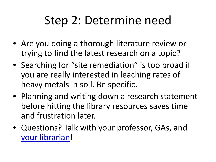## Step 2: Determine need

- Are you doing a thorough literature review or trying to find the latest research on a topic?
- Searching for "site remediation" is too broad if you are really interested in leaching rates of heavy metals in soil. Be specific.
- Planning and writing down a research statement before hitting the library resources saves time and frustration later.
- Questions? Talk with your professor, GAs, and [your librarian](http://library.umkc.edu/contact/Scott_Curtis)!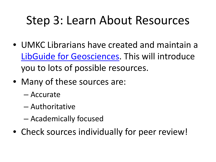## Step 3: Learn About Resources

- UMKC Librarians have created and maintain a [LibGuide for Geosciences.](http://libguides.library.umkc.edu/geo) This will introduce you to lots of possible resources.
- Many of these sources are:
	- Accurate
	- Authoritative
	- Academically focused
- Check sources individually for peer review!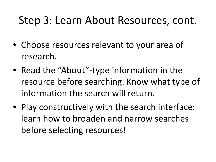#### Step 3: Learn About Resources, cont.

- Choose resources relevant to your area of research.
- Read the "About"-type information in the resource before searching. Know what type of information the search will return.
- Play constructively with the search interface: learn how to broaden and narrow searches before selecting resources!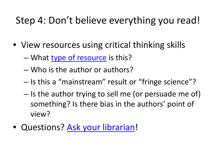#### Step 4: Don't believe everything you read!

- View resources using critical thinking skills
	- What [type of resource](http://library.umkc.edu/scholarly) is this?
	- Who is the author or authors?
	- Is this a "mainstream" result or "fringe science"?
	- Is the author trying to sell me (or persuade me of) something? Is there bias in the authors' point of view?
- Questions? [Ask your librarian](http://library.umkc.edu/contact/Scott_Curtis)!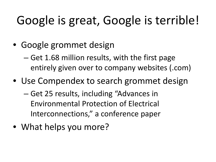# Google is great, Google is terrible!

- Google grommet design
	- Get 1.68 million results, with the first page entirely given over to company websites (.com)
- Use Compendex to search grommet design
	- Get 25 results, including "Advances in Environmental Protection of Electrical Interconnections," a conference paper
- What helps you more?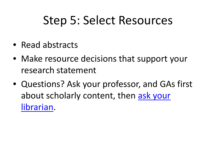## Step 5: Select Resources

- Read abstracts
- Make resource decisions that support your research statement
- Questions? Ask your professor, and GAs first about scholarly content, then [ask your](http://library.umkc.edu/contact/Scott_Curtis)  [librarian](http://library.umkc.edu/contact/Scott_Curtis).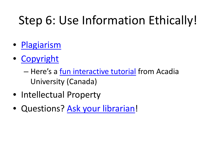# Step 6: Use Information Ethically!

- [Plagiarism](http://www.plagiarism.org/plag_article_what_is_plagiarism.html)
- [Copyright](http://libguides.library.umkc.edu/content.php?pid=31006)
	- Here's a [fun interactive tutorial](http://library.acadiau.ca/tutorials/plagiarism/) from Acadia University (Canada)
- Intellectual Property
- Questions? [Ask your librarian](http://library.umkc.edu/contact/Scott_Curtis)!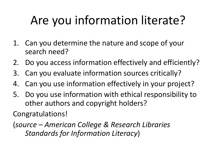# Are you information literate?

- 1. Can you determine the nature and scope of your search need?
- 2. Do you access information effectively and efficiently?
- 3. Can you evaluate information sources critically?
- 4. Can you use information effectively in your project?
- 5. Do you use information with ethical responsibility to other authors and copyright holders?

Congratulations!

(*source – American College & Research Libraries Standards for Information Literacy*)